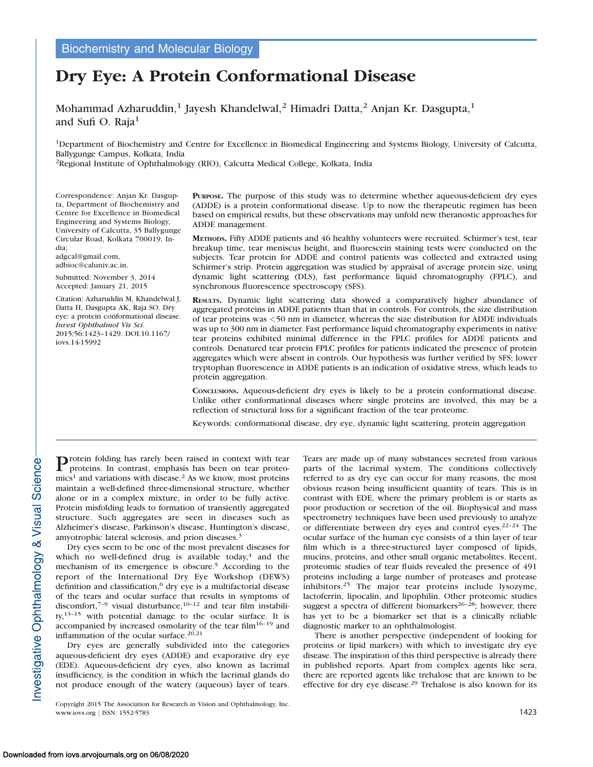# Dry Eye: A Protein Conformational Disease

Mohammad Azharuddin,<sup>1</sup> Jayesh Khandelwal,<sup>2</sup> Himadri Datta,<sup>2</sup> Anjan Kr. Dasgupta,<sup>1</sup> and Sufi O. Raja<sup>1</sup>

1Department of Biochemistry and Centre for Excellence in Biomedical Engineering and Systems Biology, University of Calcutta, Ballygunge Campus, Kolkata, India

2Regional Institute of Ophthalmology (RIO), Calcutta Medical College, Kolkata, India

Correspondence: Anjan Kr. Dasgupta, Department of Biochemistry and Centre for Excellence in Biomedical Engineering and Systems Biology, University of Calcutta, 35 Ballygunge Circular Road, Kolkata 700019, India;

adgcal@gmail.com, adbioc@caluniv.ac.in.

Submitted: November 3, 2014 Accepted: January 21, 2015

Citation: Azharuddin M, Khandelwal J, Datta H, Dasgupta AK, Raja SO. Dry eye: a protein conformational disease. Invest Ophthalmol Vis Sci. 2015;56:1423–1429. DOI:10.1167/ iovs.14-15992

PURPOSE. The purpose of this study was to determine whether aqueous-deficient dry eyes (ADDE) is a protein conformational disease. Up to now the therapeutic regimen has been based on empirical results, but these observations may unfold new theranostic approaches for ADDE management.

METHODS. Fifty ADDE patients and 46 healthy volunteers were recruited. Schirmer's test, tear breakup time, tear meniscus height, and fluorescein staining tests were conducted on the subjects. Tear protein for ADDE and control patients was collected and extracted using Schirmer's strip. Protein aggregation was studied by appraisal of average protein size, using dynamic light scattering (DLS), fast performance liquid chromatography (FPLC), and synchronous fluorescence spectroscopy (SFS).

RESULTS. Dynamic light scattering data showed a comparatively higher abundance of aggregated proteins in ADDE patients than that in controls. For controls, the size distribution of tear proteins was <50 nm in diameter, whereas the size distribution for ADDE individuals was up to 300 nm in diameter. Fast performance liquid chromatography experiments in native tear proteins exhibited minimal difference in the FPLC profiles for ADDE patients and controls. Denatured tear protein FPLC profiles for patients indicated the presence of protein aggregates which were absent in controls. Our hypothesis was further verified by SFS; lower tryptophan fluorescence in ADDE patients is an indication of oxidative stress, which leads to protein aggregation.

CONCLUSIONS. Aqueous-deficient dry eyes is likely to be a protein conformational disease. Unlike other conformational diseases where single proteins are involved, this may be a reflection of structural loss for a significant fraction of the tear proteome.

Keywords: conformational disease, dry eye, dynamic light scattering, protein aggregation

Protein folding has rarely been raised in context with tear proteo-<br>proteins. In contrast, emphasis has been on tear proteo $mics<sup>1</sup>$  and variations with disease.<sup>2</sup> As we know, most proteins maintain a well-defined three-dimensional structure, whether alone or in a complex mixture, in order to be fully active. Protein misfolding leads to formation of transiently aggregated structure. Such aggregates are seen in diseases such as Alzheimer's disease, Parkinson's disease, Huntington's disease, amyotrophic lateral sclerosis, and prion diseases.<sup>3</sup>

Dry eyes seem to be one of the most prevalent diseases for which no well-defined drug is available today, $4$  and the mechanism of its emergence is obscure.<sup>5</sup> According to the report of the International Dry Eye Workshop (DEWS) definition and classification,<sup>6</sup> dry eye is a multifactorial disease of the tears and ocular surface that results in symptoms of discomfort, $7-9$  visual disturbance, $10-12$  and tear film instability, $13-15$  with potential damage to the ocular surface. It is accompanied by increased osmolarity of the tear film $16-19$  and inflammation of the ocular surface.<sup>20,21</sup>

Dry eyes are generally subdivided into the categories aqueous-deficient dry eyes (ADDE) and evaporative dry eye (EDE). Aqueous-deficient dry eyes, also known as lacrimal insufficiency, is the condition in which the lacrimal glands do not produce enough of the watery (aqueous) layer of tears.

Copyright 2015 The Association for Research in Vision and Ophthalmology, Inc. www.iovs.org | ISSN: 1552-5783 1423

Tears are made up of many substances secreted from various parts of the lacrimal system. The conditions collectively referred to as dry eye can occur for many reasons, the most obvious reason being insufficient quantity of tears. This is in contrast with EDE, where the primary problem is or starts as poor production or secretion of the oil. Biophysical and mass spectrometry techniques have been used previously to analyze or differentiate between dry eyes and control eyes.22–24 The ocular surface of the human eye consists of a thin layer of tear film which is a three-structured layer composed of lipids, mucins, proteins, and other small organic metabolites. Recent, proteomic studies of tear fluids revealed the presence of 491 proteins including a large number of proteases and protease inhibitors.<sup>25</sup> The major tear proteins include lysozyme, lactoferrin, lipocalin, and lipophilin. Other proteomic studies suggest a spectra of different biomarkers<sup>26–28</sup>; however, there has yet to be a biomarker set that is a clinically reliable diagnostic marker to an ophthalmologist.

There is another perspective (independent of looking for proteins or lipid markers) with which to investigate dry eye disease. The inspiration of this third perspective is already there in published reports. Apart from complex agents like sera, there are reported agents like trehalose that are known to be effective for dry eye disease.<sup>29</sup> Trehalose is also known for its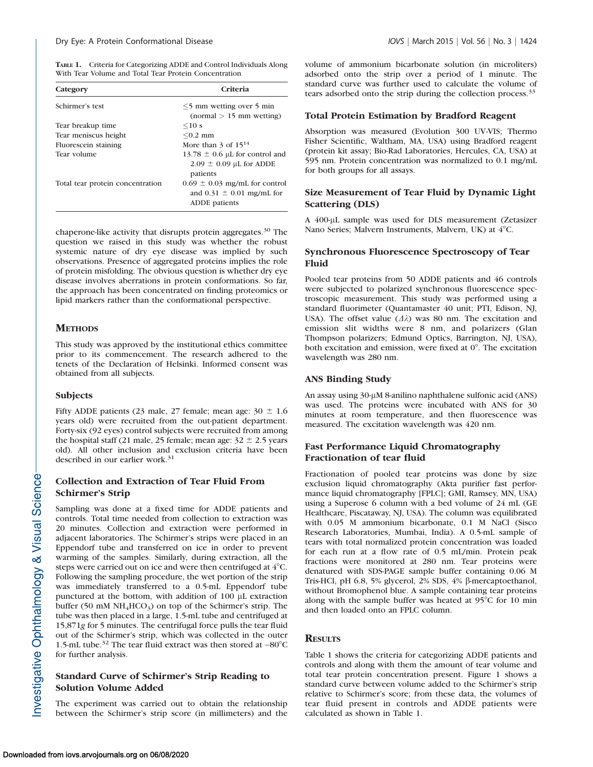TABLE 1. Criteria for Categorizing ADDE and Control Individuals Along With Tear Volume and Total Tear Protein Concentration

| Category                         | Criteria                                                                            |  |
|----------------------------------|-------------------------------------------------------------------------------------|--|
| Schirmer's test                  | $\leq$ 5 mm wetting over 5 min<br>$normal > 15$ mm wetting)                         |  |
| Tear breakup time                | $\leq 10$ s                                                                         |  |
| Tear meniscus height             | $< 0.2$ mm                                                                          |  |
| Fluorescein staining             | More than 3 of $15^{14}$                                                            |  |
| Tear volume                      | 13.78 $\pm$ 0.6 µL for control and<br>$2.09 \pm 0.09$ µL for ADDE<br>patients       |  |
| Total tear protein concentration | $0.69 \pm 0.03$ mg/mL for control<br>and $0.31 \pm 0.01$ mg/mL for<br>ADDE patients |  |

chaperone-like activity that disrupts protein aggregates.<sup>30</sup> The question we raised in this study was whether the robust systemic nature of dry eye disease was implied by such observations. Presence of aggregated proteins implies the role of protein misfolding. The obvious question is whether dry eye disease involves aberrations in protein conformations. So far, the approach has been concentrated on finding proteomics or lipid markers rather than the conformational perspective.

# **METHODS**

This study was approved by the institutional ethics committee prior to its commencement. The research adhered to the tenets of the Declaration of Helsinki. Informed consent was obtained from all subjects.

#### **Subjects**

nvestigative Ophthalmology & Visual Science

Fifty ADDE patients (23 male, 27 female; mean age:  $30 \pm 1.6$ years old) were recruited from the out-patient department. Forty-six (92 eyes) control subjects were recruited from among the hospital staff (21 male, 25 female; mean age:  $32 \pm 2.5$  years old). All other inclusion and exclusion criteria have been described in our earlier work.<sup>31</sup>

# Collection and Extraction of Tear Fluid From Schirmer's Strip

Sampling was done at a fixed time for ADDE patients and controls. Total time needed from collection to extraction was 20 minutes. Collection and extraction were performed in adjacent laboratories. The Schirmer's strips were placed in an Eppendorf tube and transferred on ice in order to prevent warming of the samples. Similarly, during extraction, all the steps were carried out on ice and were then centrifuged at  $4^{\circ}$ C. Following the sampling procedure, the wet portion of the strip was immediately transferred to a 0.5-mL Eppendorf tube punctured at the bottom, with addition of 100 µL extraction buffer (50 mM  $NH_4HCO_3$ ) on top of the Schirmer's strip. The tube was then placed in a large, 1.5-mL tube and centrifuged at 15,871g for 5 minutes. The centrifugal force pulls the tear fluid out of the Schirmer's strip, which was collected in the outer 1.5-mL tube.<sup>32</sup> The tear fluid extract was then stored at  $-80^{\circ}$ C for further analysis.

# Standard Curve of Schirmer's Strip Reading to Solution Volume Added

The experiment was carried out to obtain the relationship between the Schirmer's strip score (in millimeters) and the volume of ammonium bicarbonate solution (in microliters) adsorbed onto the strip over a period of 1 minute. The standard curve was further used to calculate the volume of tears adsorbed onto the strip during the collection process.<sup>33</sup>

#### Total Protein Estimation by Bradford Reagent

Absorption was measured (Evolution 300 UV-VIS; Thermo Fisher Scientific, Waltham, MA, USA) using Bradford reagent (protein kit assay; Bio-Rad Laboratories, Hercules, CA, USA) at 595 nm. Protein concentration was normalized to 0.1 mg/mL for both groups for all assays.

## Size Measurement of Tear Fluid by Dynamic Light Scattering (DLS)

A 400-µL sample was used for DLS measurement (Zetasizer Nano Series; Malvern Instruments, Malvern, UK) at 4°C.

#### Synchronous Fluorescence Spectroscopy of Tear Fluid

Pooled tear proteins from 50 ADDE patients and 46 controls were subjected to polarized synchronous fluorescence spectroscopic measurement. This study was performed using a standard fluorimeter (Quantamaster 40 unit; PTI, Edison, NJ, USA). The offset value  $(\Delta \lambda)$  was 80 nm. The excitation and emission slit widths were 8 nm, and polarizers (Glan Thompson polarizers; Edmund Optics, Barrington, NJ, USA), both excitation and emission, were fixed at  $0^\circ$ . The excitation wavelength was 280 nm.

## ANS Binding Study

An assay using 30-µM 8-anilino naphthalene sulfonic acid (ANS) was used. The proteins were incubated with ANS for 30 minutes at room temperature, and then fluorescence was measured. The excitation wavelength was 420 nm.

# Fast Performance Liquid Chromatography Fractionation of tear fluid

Fractionation of pooled tear proteins was done by size exclusion liquid chromatography (Akta purifier fast performance liquid chromatography [FPLC]; GMI, Ramsey, MN, USA) using a Superose 6 column with a bed volume of 24 mL (GE Healthcare, Piscataway, NJ, USA). The column was equilibrated with 0.05 M ammonium bicarbonate, 0.1 M NaCl (Sisco Research Laboratories, Mumbai, India). A 0.5-mL sample of tears with total normalized protein concentration was loaded for each run at a flow rate of 0.5 mL/min. Protein peak fractions were monitored at 280 nm. Tear proteins were denatured with SDS-PAGE sample buffer containing 0.06 M Tris-HCl, pH 6.8, 5% glycerol, 2% SDS, 4%  $\beta$ -mercaptoethanol, without Bromophenol blue. A sample containing tear proteins along with the sample buffer was heated at  $95^{\circ}$ C for 10 min and then loaded onto an FPLC column.

## **RESULTS**

Table 1 shows the criteria for categorizing ADDE patients and controls and along with them the amount of tear volume and total tear protein concentration present. Figure 1 shows a standard curve between volume added to the Schirmer's strip relative to Schirmer's score; from these data, the volumes of tear fluid present in controls and ADDE patients were calculated as shown in Table 1.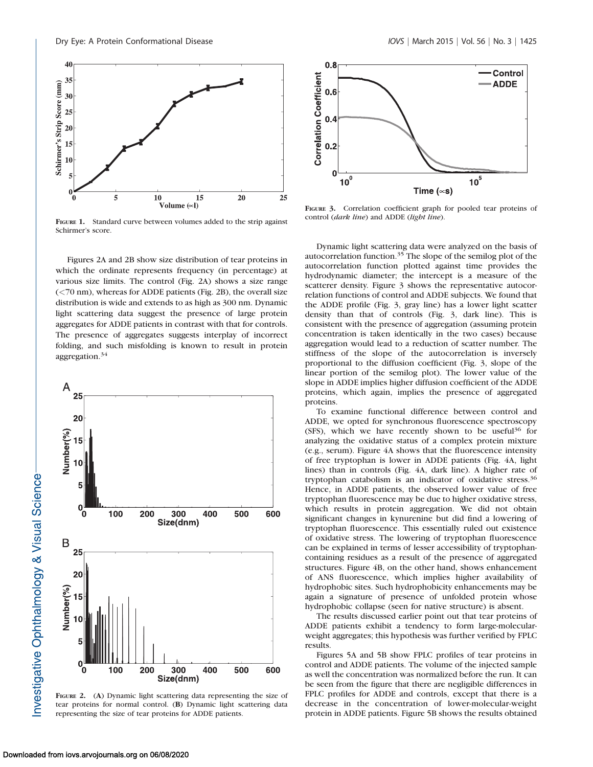

FIGURE 1. Standard curve between volumes added to the strip against Schirmer's score.

Figures 2A and 2B show size distribution of tear proteins in which the ordinate represents frequency (in percentage) at various size limits. The control (Fig. 2A) shows a size range (<70 nm), whereas for ADDE patients (Fig. 2B), the overall size distribution is wide and extends to as high as 300 nm. Dynamic light scattering data suggest the presence of large protein aggregates for ADDE patients in contrast with that for controls. The presence of aggregates suggests interplay of incorrect folding, and such misfolding is known to result in protein aggregation.<sup>34</sup>



FIGURE 2. (A) Dynamic light scattering data representing the size of tear proteins for normal control. (B) Dynamic light scattering data representing the size of tear proteins for ADDE patients.



FIGURE 3. Correlation coefficient graph for pooled tear proteins of control (dark line) and ADDE (light line).

Dynamic light scattering data were analyzed on the basis of autocorrelation function.<sup>35</sup> The slope of the semilog plot of the autocorrelation function plotted against time provides the hydrodynamic diameter; the intercept is a measure of the scatterer density. Figure 3 shows the representative autocorrelation functions of control and ADDE subjects. We found that the ADDE profile (Fig. 3, gray line) has a lower light scatter density than that of controls (Fig. 3, dark line). This is consistent with the presence of aggregation (assuming protein concentration is taken identically in the two cases) because aggregation would lead to a reduction of scatter number. The stiffness of the slope of the autocorrelation is inversely proportional to the diffusion coefficient (Fig. 3, slope of the linear portion of the semilog plot). The lower value of the slope in ADDE implies higher diffusion coefficient of the ADDE proteins, which again, implies the presence of aggregated proteins.

To examine functional difference between control and ADDE, we opted for synchronous fluorescence spectroscopy (SFS), which we have recently shown to be useful<sup>36</sup> for analyzing the oxidative status of a complex protein mixture (e.g., serum). Figure 4A shows that the fluorescence intensity of free tryptophan is lower in ADDE patients (Fig. 4A, light lines) than in controls (Fig. 4A, dark line). A higher rate of tryptophan catabolism is an indicator of oxidative stress.<sup>36</sup> Hence, in ADDE patients, the observed lower value of free tryptophan fluorescence may be due to higher oxidative stress, which results in protein aggregation. We did not obtain significant changes in kynurenine but did find a lowering of tryptophan fluorescence. This essentially ruled out existence of oxidative stress. The lowering of tryptophan fluorescence can be explained in terms of lesser accessibility of tryptophancontaining residues as a result of the presence of aggregated structures. Figure 4B, on the other hand, shows enhancement of ANS fluorescence, which implies higher availability of hydrophobic sites. Such hydrophobicity enhancements may be again a signature of presence of unfolded protein whose hydrophobic collapse (seen for native structure) is absent.

The results discussed earlier point out that tear proteins of ADDE patients exhibit a tendency to form large-molecularweight aggregates; this hypothesis was further verified by FPLC results.

Figures 5A and 5B show FPLC profiles of tear proteins in control and ADDE patients. The volume of the injected sample as well the concentration was normalized before the run. It can be seen from the figure that there are negligible differences in FPLC profiles for ADDE and controls, except that there is a decrease in the concentration of lower-molecular-weight protein in ADDE patients. Figure 5B shows the results obtained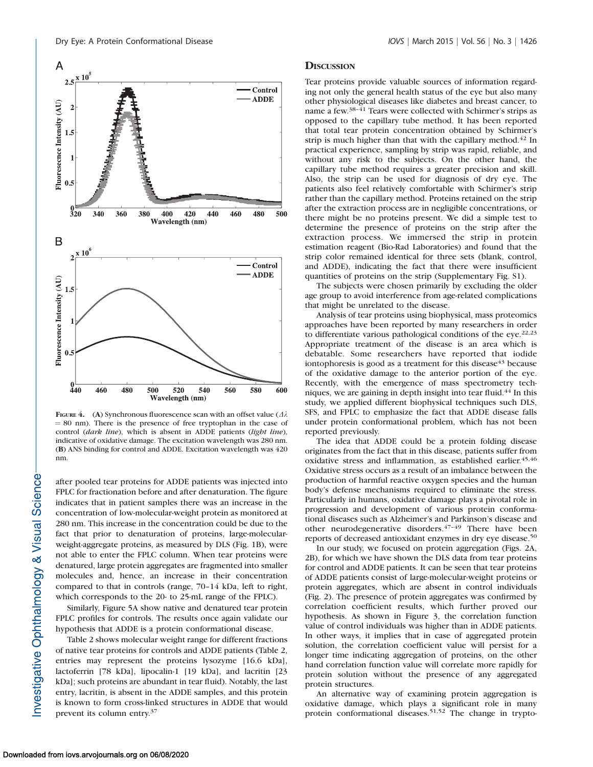

FIGURE 4. (A) Synchronous fluorescence scan with an offset value ( $\Delta\lambda$ )  $= 80$  nm). There is the presence of free tryptophan in the case of control (dark line), which is absent in ADDE patients (light line), indicative of oxidative damage. The excitation wavelength was 280 nm. (B) ANS binding for control and ADDE. Excitation wavelength was 420 nm.

after pooled tear proteins for ADDE patients was injected into FPLC for fractionation before and after denaturation. The figure indicates that in patient samples there was an increase in the concentration of low-molecular-weight protein as monitored at 280 nm. This increase in the concentration could be due to the fact that prior to denaturation of proteins, large-molecularweight-aggregate proteins, as measured by DLS (Fig. 1B), were not able to enter the FPLC column. When tear proteins were denatured, large protein aggregates are fragmented into smaller molecules and, hence, an increase in their concentration compared to that in controls (range, 70–14 kDa, left to right, which corresponds to the 20- to 25-mL range of the FPLC).

Similarly, Figure 5A show native and denatured tear protein FPLC profiles for controls. The results once again validate our hypothesis that ADDE is a protein conformational disease.

Table 2 shows molecular weight range for different fractions of native tear proteins for controls and ADDE patients (Table 2, entries may represent the proteins lysozyme [16.6 kDa], lactoferrin [78 kDa], lipocalin-1 [19 kDa], and lacritin [23 kDa]; such proteins are abundant in tear fluid). Notably, the last entry, lacritin, is absent in the ADDE samples, and this protein is known to form cross-linked structures in ADDE that would prevent its column entry.37

#### **DISCUSSION**

Tear proteins provide valuable sources of information regarding not only the general health status of the eye but also many other physiological diseases like diabetes and breast cancer, to name a few.38–41 Tears were collected with Schirmer's strips as opposed to the capillary tube method. It has been reported that total tear protein concentration obtained by Schirmer's strip is much higher than that with the capillary method.<sup>42</sup> In practical experience, sampling by strip was rapid, reliable, and without any risk to the subjects. On the other hand, the capillary tube method requires a greater precision and skill. Also, the strip can be used for diagnosis of dry eye. The patients also feel relatively comfortable with Schirmer's strip rather than the capillary method. Proteins retained on the strip after the extraction process are in negligible concentrations, or there might be no proteins present. We did a simple test to determine the presence of proteins on the strip after the extraction process. We immersed the strip in protein estimation reagent (Bio-Rad Laboratories) and found that the strip color remained identical for three sets (blank, control, and ADDE), indicating the fact that there were insufficient quantities of proteins on the strip [\(Supplementary Fig. S1](http://www.iovs.org/content/56/3/1423/suppl/DC1)).

The subjects were chosen primarily by excluding the older age group to avoid interference from age-related complications that might be unrelated to the disease.

Analysis of tear proteins using biophysical, mass proteomics approaches have been reported by many researchers in order to differentiate various pathological conditions of the eye.<sup>22,23</sup> Appropriate treatment of the disease is an area which is debatable. Some researchers have reported that iodide iontophoresis is good as a treatment for this disease  $43$  because of the oxidative damage to the anterior portion of the eye. Recently, with the emergence of mass spectrometry techniques, we are gaining in depth insight into tear fluid.<sup>44</sup> In this study, we applied different biophysical techniques such DLS, SFS, and FPLC to emphasize the fact that ADDE disease falls under protein conformational problem, which has not been reported previously.

The idea that ADDE could be a protein folding disease originates from the fact that in this disease, patients suffer from oxidative stress and inflammation, as established earlier.<sup>45,46</sup> Oxidative stress occurs as a result of an imbalance between the production of harmful reactive oxygen species and the human body's defense mechanisms required to eliminate the stress. Particularly in humans, oxidative damage plays a pivotal role in progression and development of various protein conformational diseases such as Alzheimer's and Parkinson's disease and other neurodegenerative disorders.<sup>47-49</sup> There have been reports of decreased antioxidant enzymes in dry eye disease.<sup>50</sup>

In our study, we focused on protein aggregation (Figs. 2A, 2B), for which we have shown the DLS data from tear proteins for control and ADDE patients. It can be seen that tear proteins of ADDE patients consist of large-molecular-weight proteins or protein aggregates, which are absent in control individuals (Fig. 2). The presence of protein aggregates was confirmed by correlation coefficient results, which further proved our hypothesis. As shown in Figure 3, the correlation function value of control individuals was higher than in ADDE patients. In other ways, it implies that in case of aggregated protein solution, the correlation coefficient value will persist for a longer time indicating aggregation of proteins, on the other hand correlation function value will correlate more rapidly for protein solution without the presence of any aggregated protein structures.

An alternative way of examining protein aggregation is oxidative damage, which plays a significant role in many protein conformational diseases.51,52 The change in trypto-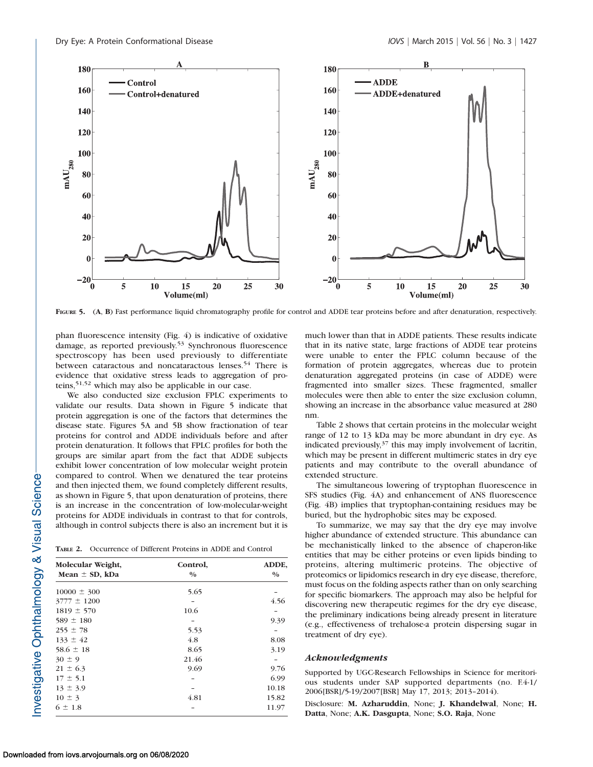

FIGURE 5. (A, B) Fast performance liquid chromatography profile for control and ADDE tear proteins before and after denaturation, respectively.

phan fluorescence intensity (Fig. 4) is indicative of oxidative damage, as reported previously.53 Synchronous fluorescence spectroscopy has been used previously to differentiate between cataractous and noncataractous lenses.<sup>54</sup> There is evidence that oxidative stress leads to aggregation of proteins,51,52 which may also be applicable in our case.

We also conducted size exclusion FPLC experiments to validate our results. Data shown in Figure 5 indicate that protein aggregation is one of the factors that determines the disease state. Figures 5A and 5B show fractionation of tear proteins for control and ADDE individuals before and after protein denaturation. It follows that FPLC profiles for both the groups are similar apart from the fact that ADDE subjects exhibit lower concentration of low molecular weight protein compared to control. When we denatured the tear proteins and then injected them, we found completely different results, as shown in Figure 5, that upon denaturation of proteins, there is an increase in the concentration of low-molecular-weight proteins for ADDE individuals in contrast to that for controls, although in control subjects there is also an increment but it is

TABLE 2. Occurrence of Different Proteins in ADDE and Control

| Molecular Weight,<br>Mean $\pm$ SD, kDa | Control,<br>$\frac{0}{0}$ | ADDE,<br>$\frac{0}{0}$ |
|-----------------------------------------|---------------------------|------------------------|
|                                         |                           |                        |
| $3777 \pm 1200$                         |                           | 4.56                   |
| $1819 \pm 570$                          | 10.6                      |                        |
| $589 \pm 180$                           |                           | 9.39                   |
| $255 \pm 78$                            | 5.53                      |                        |
| $133 \pm 42$                            | 4.8                       | 8.08                   |
| $58.6 \pm 18$                           | 8.65                      | 3.19                   |
| $30 \pm 9$                              | 21.46                     |                        |
| $21 \pm 6.3$                            | 9.69                      | 9.76                   |
| $17 \pm 5.1$                            |                           | 6.99                   |
| $13 \pm 3.9$                            |                           | 10.18                  |
| $10 \pm 3$                              | 4.81                      | 15.82                  |
| $6 \pm 1.8$                             |                           | 11.97                  |

much lower than that in ADDE patients. These results indicate that in its native state, large fractions of ADDE tear proteins were unable to enter the FPLC column because of the formation of protein aggregates, whereas due to protein denaturation aggregated proteins (in case of ADDE) were fragmented into smaller sizes. These fragmented, smaller molecules were then able to enter the size exclusion column, showing an increase in the absorbance value measured at 280 nm.

Table 2 shows that certain proteins in the molecular weight range of 12 to 13 kDa may be more abundant in dry eye. As indicated previously,  $37$  this may imply involvement of lacritin, which may be present in different multimeric states in dry eye patients and may contribute to the overall abundance of extended structure.

The simultaneous lowering of tryptophan fluorescence in SFS studies (Fig. 4A) and enhancement of ANS fluorescence (Fig. 4B) implies that tryptophan-containing residues may be buried, but the hydrophobic sites may be exposed.

To summarize, we may say that the dry eye may involve higher abundance of extended structure. This abundance can be mechanistically linked to the absence of chaperon-like entities that may be either proteins or even lipids binding to proteins, altering multimeric proteins. The objective of proteomics or lipidomics research in dry eye disease, therefore, must focus on the folding aspects rather than on only searching for specific biomarkers. The approach may also be helpful for discovering new therapeutic regimes for the dry eye disease, the preliminary indications being already present in literature (e.g., effectiveness of trehalose-a protein dispersing sugar in treatment of dry eye).

#### Acknowledgments

Supported by UGC-Research Fellowships in Science for meritorious students under SAP supported departments (no. F.4-1/ 2006[BSR]/5-19/2007[BSR] May 17, 2013; 2013–2014).

Disclosure: M. Azharuddin, None; J. Khandelwal, None; H. Datta, None; A.K. Dasgupta, None; S.O. Raja, None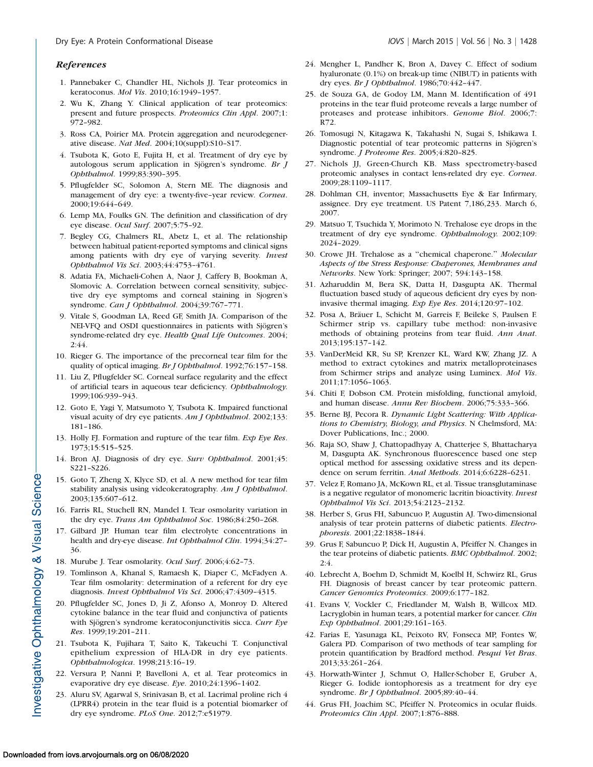#### References

- 1. Pannebaker C, Chandler HL, Nichols JJ. Tear proteomics in keratoconus. Mol Vis. 2010;16:1949–1957.
- 2. Wu K, Zhang Y. Clinical application of tear proteomics: present and future prospects. Proteomics Clin Appl. 2007;1: 972–982.
- 3. Ross CA, Poirier MA. Protein aggregation and neurodegenerative disease. Nat Med. 2004;10(suppl):S10–S17.
- 4. Tsubota K, Goto E, Fujita H, et al. Treatment of dry eye by autologous serum application in Sjögren's syndrome. Br J Ophthalmol. 1999;83:390–395.
- 5. Pflugfelder SC, Solomon A, Stern ME. The diagnosis and management of dry eye: a twenty-five–year review. Cornea. 2000;19:644–649.
- 6. Lemp MA, Foulks GN. The definition and classification of dry eye disease. Ocul Surf. 2007;5:75–92.
- 7. Begley CG, Chalmers RL, Abetz L, et al. The relationship between habitual patient-reported symptoms and clinical signs among patients with dry eye of varying severity. Invest Ophthalmol Vis Sci. 2003;44:4753–4761.
- 8. Adatia FA, Michaeli-Cohen A, Naor J, Caffery B, Bookman A, Slomovic A. Correlation between corneal sensitivity, subjective dry eye symptoms and corneal staining in Sjogren's syndrome. Can J Ophthalmol. 2004;39:767–771.
- 9. Vitale S, Goodman LA, Reed GF, Smith JA. Comparison of the NEI-VFQ and OSDI questionnaires in patients with Sjögren's syndrome-related dry eye. Health Qual Life Outcomes. 2004; 2:44.
- 10. Rieger G. The importance of the precorneal tear film for the quality of optical imaging. Br J Ophthalmol. 1992;76:157–158.
- 11. Liu Z, Pflugfelder SC. Corneal surface regularity and the effect of artificial tears in aqueous tear deficiency. Ophthalmology. 1999;106:939–943.
- 12. Goto E, Yagi Y, Matsumoto Y, Tsubota K. Impaired functional visual acuity of dry eye patients. Am J Ophthalmol. 2002;133: 181–186.
- 13. Holly FJ. Formation and rupture of the tear film. Exp Eye Res. 1973;15:515–525.
- 14. Bron AJ. Diagnosis of dry eye. Surv Ophthalmol. 2001;45: S221–S226.
- 15. Goto T, Zheng X, Klyce SD, et al. A new method for tear film stability analysis using videokeratography. Am J Ophthalmol. 2003;135:607–612.
- 16. Farris RL, Stuchell RN, Mandel I. Tear osmolarity variation in the dry eye. Trans Am Ophthalmol Soc. 1986;84:250–268.
- 17. Gilbard JP. Human tear film electrolyte concentrations in health and dry-eye disease. Int Ophthalmol Clin. 1994;34:27– 36.
- 18. Murube J. Tear osmolarity. Ocul Surf. 2006;4:62–73.
- 19. Tomlinson A, Khanal S, Ramaesh K, Diaper C, McFadyen A. Tear film osmolarity: determination of a referent for dry eye diagnosis. Invest Ophthalmol Vis Sci. 2006;47:4309–4315.
- 20. Pflugfelder SC, Jones D, Ji Z, Afonso A, Monroy D. Altered cytokine balance in the tear fluid and conjunctiva of patients with Sjögren's syndrome keratoconjunctivitis sicca. Curr Eye Res. 1999;19:201–211.
- 21. Tsubota K, Fujihara T, Saito K, Takeuchi T. Conjunctival epithelium expression of HLA-DR in dry eye patients. Ophthalmologica. 1998;213:16–19.
- 22. Versura P, Nanni P, Bavelloni A, et al. Tear proteomics in evaporative dry eye disease. Eye. 2010;24:1396–1402.
- 23. Aluru SV, Agarwal S, Srinivasan B, et al. Lacrimal proline rich 4 (LPRR4) protein in the tear fluid is a potential biomarker of dry eye syndrome. PLoS One. 2012;7:e51979.
- 24. Mengher L, Pandher K, Bron A, Davey C. Effect of sodium hyaluronate (0.1%) on break-up time (NIBUT) in patients with dry eyes. Br J Ophthalmol. 1986;70:442–447.
- 25. de Souza GA, de Godoy LM, Mann M. Identification of 491 proteins in the tear fluid proteome reveals a large number of proteases and protease inhibitors. Genome Biol. 2006;7: R72.
- 26. Tomosugi N, Kitagawa K, Takahashi N, Sugai S, Ishikawa I. Diagnostic potential of tear proteomic patterns in Sjögren's syndrome. J Proteome Res. 2005;4:820–825.
- 27. Nichols JJ, Green-Church KB. Mass spectrometry-based proteomic analyses in contact lens-related dry eye. Cornea. 2009;28:1109–1117.
- 28. Dohlman CH, inventor; Massachusetts Eye & Ear Infirmary, assignee. Dry eye treatment. US Patent 7,186,233. March 6, 2007.
- 29. Matsuo T, Tsuchida Y, Morimoto N. Trehalose eye drops in the treatment of dry eye syndrome. Ophthalmology. 2002;109: 2024–2029.
- 30. Crowe JH. Trehalose as a ''chemical chaperone.'' Molecular Aspects of the Stress Response: Chaperones, Membranes and Networks. New York: Springer; 2007; 594:143–158.
- 31. Azharuddin M, Bera SK, Datta H, Dasgupta AK. Thermal fluctuation based study of aqueous deficient dry eyes by noninvasive thermal imaging. Exp Eye Res. 2014;120:97–102.
- 32. Posa A, Bräuer L, Schicht M, Garreis F, Beileke S, Paulsen F. Schirmer strip vs. capillary tube method: non-invasive methods of obtaining proteins from tear fluid. Ann Anat. 2013;195:137–142.
- 33. VanDerMeid KR, Su SP, Krenzer KL, Ward KW, Zhang JZ. A method to extract cytokines and matrix metalloproteinases from Schirmer strips and analyze using Luminex. Mol Vis. 2011;17:1056–1063.
- 34. Chiti F, Dobson CM. Protein misfolding, functional amyloid, and human disease. Annu Rev Biochem. 2006;75:333–366.
- 35. Berne BJ, Pecora R. Dynamic Light Scattering: With Applications to Chemistry, Biology, and Physics. N Chelmsford, MA: Dover Publications, Inc.; 2000.
- 36. Raja SO, Shaw J, Chattopadhyay A, Chatterjee S, Bhattacharya M, Dasgupta AK. Synchronous fluorescence based one step optical method for assessing oxidative stress and its dependence on serum ferritin. Anal Methods. 2014;6:6228–6231.
- 37. Velez F, Romano JA, McKown RL, et al. Tissue transglutaminase is a negative regulator of monomeric lacritin bioactivity. Invest Ophthalmol Vis Sci. 2013;54:2123–2132.
- 38. Herber S, Grus FH, Sabuncuo P, Augustin AJ. Two-dimensional analysis of tear protein patterns of diabetic patients. Electrophoresis. 2001;22:1838–1844.
- 39. Grus F, Sabuncuo P, Dick H, Augustin A, Pfeiffer N. Changes in the tear proteins of diabetic patients. BMC Ophthalmol. 2002; 2:4.
- 40. Lebrecht A, Boehm D, Schmidt M, Koelbl H, Schwirz RL, Grus FH. Diagnosis of breast cancer by tear proteomic pattern. Cancer Genomics Proteomics. 2009;6:177–182.
- 41. Evans V, Vockler C, Friedlander M, Walsh B, Willcox MD. Lacryglobin in human tears, a potential marker for cancer. Clin Exp Ophthalmol. 2001;29:161–163.
- 42. Farias E, Yasunaga KL, Peixoto RV, Fonseca MP, Fontes W, Galera PD. Comparison of two methods of tear sampling for protein quantification by Bradford method. Pesqui Vet Bras. 2013;33:261–264.
- 43. Horwath-Winter J, Schmut O, Haller-Schober E, Gruber A, Rieger G. Iodide iontophoresis as a treatment for dry eye syndrome. Br J Ophthalmol. 2005;89:40–44.
- 44. Grus FH, Joachim SC, Pfeiffer N. Proteomics in ocular fluids. Proteomics Clin Appl. 2007;1:876–888.